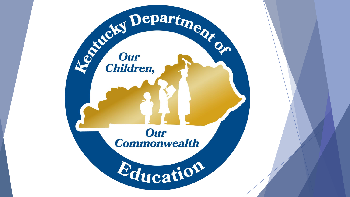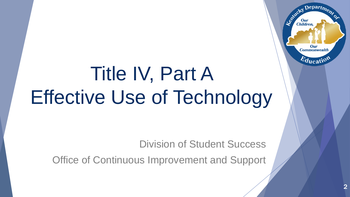# Title IV, Part A Effective Use of Technology

Division of Student Success

Office of Continuous Improvement and Support

Departme.

Our **Commonwealth** 

 $E_{\text{ducati}}$ 

Agencies

**Our**<br>Children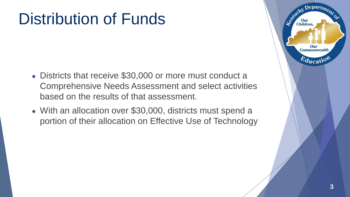### Distribution of Funds

- Districts that receive \$30,000 or more must conduct a Comprehensive Needs Assessment and select activities based on the results of that assessment.
- With an allocation over \$30,000, districts must spend a portion of their allocation on Effective Use of Technology

 $\epsilon$  Depart<sub>m</sub>

Our **Commonwealth** 

 $E_{\text{ducati}}$ 

Agentucky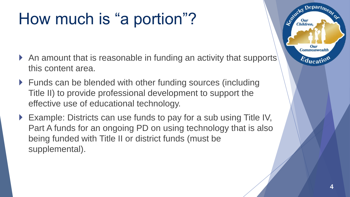### How much is "a portion"?

- An amount that is reasonable in funding an activity that supports this content area.
- ▶ Funds can be blended with other funding sources (including Title II) to provide professional development to support the effective use of educational technology.
- ▶ Example: Districts can use funds to pay for a sub using Title IV, Part A funds for an ongoing PD on using technology that is also being funded with Title II or district funds (must be supplemental).

Depart<sub>m</sub>

Our **Commonwealth** 

 $E_{\text{ducati}}$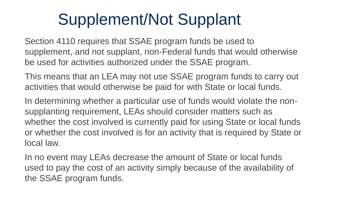### Supplement/Not Supplant

Section 4110 requires that SSAE program funds be used to supplement, and not supplant, non-Federal funds that would otherwise be used for activities authorized under the SSAE program.

This means that an LEA may not use SSAE program funds to carry out activities that would otherwise be paid for with State or local funds.

In determining whether a particular use of funds would violate the nonsupplanting requirement, LEAs should consider matters such as whether the cost involved is currently paid for using State or local funds or whether the cost involved is for an activity that is required by State or local law.

In no event may LEAs decrease the amount of State or local funds used to pay the cost of an activity simply because of the availability of the SSAE program funds.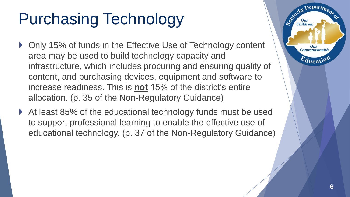## Purchasing Technology

- ▶ Only 15% of funds in the Effective Use of Technology content area may be used to build technology capacity and infrastructure, which includes procuring and ensuring quality of content, and purchasing devices, equipment and software to increase readiness. This is **not** 15% of the district's entire allocation. (p. 35 of the Non-Regulatory Guidance)
- ▶ At least 85% of the educational technology funds must be used to support professional learning to enable the effective use of educational technology. (p. 37 of the Non-Regulatory Guidance)

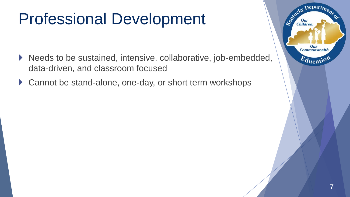### Professional Development

- ▶ Needs to be sustained, intensive, collaborative, job-embedded, data-driven, and classroom focused
- ▶ Cannot be stand-alone, one-day, or short term workshops

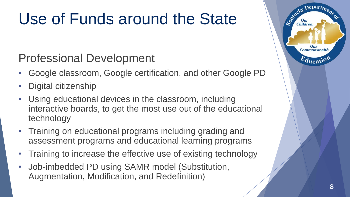### Use of Funds around the State

#### Professional Development

- Google classroom, Google certification, and other Google PD
- Digital citizenship
- Using educational devices in the classroom, including interactive boards, to get the most use out of the educational technology
- Training on educational programs including grading and assessment programs and educational learning programs
- Training to increase the effective use of existing technology
- Job-imbedded PD using SAMR model (Substitution, Augmentation, Modification, and Redefinition)

epart<sub>m</sub>

Our **Commonwealtl** 

 $E_{\text{ducati}}$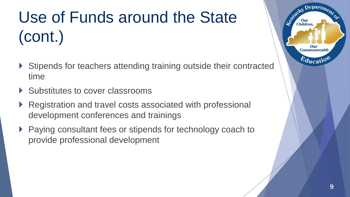## Use of Funds around the State (cont.)

- ▶ Stipends for teachers attending training outside their contracted time
- Substitutes to cover classrooms
- Registration and travel costs associated with professional development conferences and trainings
- ▶ Paying consultant fees or stipends for technology coach to provide professional development

epart<sub>m</sub>

Our **Commonwealth** 

 $E_{\text{ducati}}$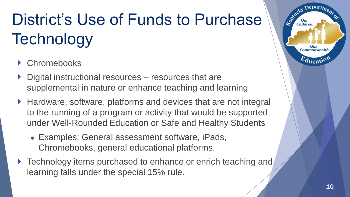## District's Use of Funds to Purchase **Technology**

- ▶ Chromebooks
- ▶ Digital instructional resources resources that are supplemental in nature or enhance teaching and learning
- ▶ Hardware, software, platforms and devices that are not integral to the running of a program or activity that would be supported under Well-Rounded Education or Safe and Healthy Students
	- Examples: General assessment software, iPads, Chromebooks, general educational platforms.
- ▶ Technology items purchased to enhance or enrich teaching and learning falls under the special 15% rule.

epart<sub>m</sub>

**Commonwealtl** 

 $E_{\text{ducati}}$ 

Leo<sup>xide</sup>ky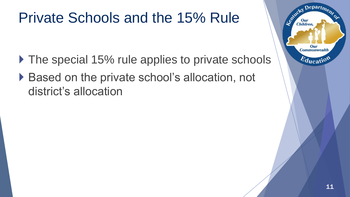### Private Schools and the 15% Rule

- ▶ The special 15% rule applies to private schools
- ▶ Based on the private school's allocation, not district's allocation

 $Depart_{D_{\epsilon}}$ 

Our **Commonwealth** 

 $E_{\text{ducatio}}$ 

Le Child

**Our**<br>Children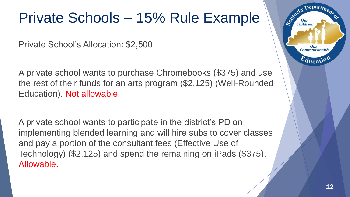### Private Schools – 15% Rule Example

Private School's Allocation: \$2,500

A private school wants to purchase Chromebooks (\$375) and use the rest of their funds for an arts program (\$2,125) (Well-Rounded Education). Not allowable.

A private school wants to participate in the district's PD on implementing blended learning and will hire subs to cover classes and pay a portion of the consultant fees (Effective Use of Technology) (\$2,125) and spend the remaining on iPads (\$375). Allowable.



Legitucky